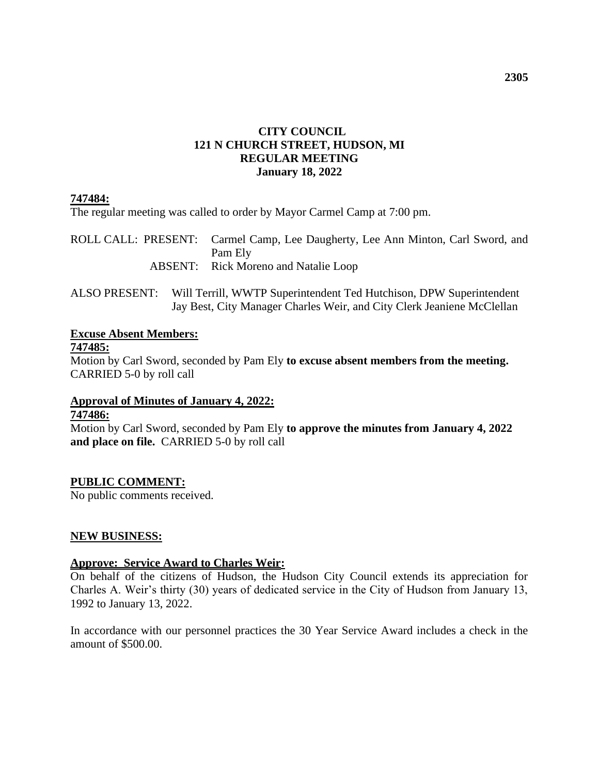### **CITY COUNCIL 121 N CHURCH STREET, HUDSON, MI REGULAR MEETING January 18, 2022**

### **747484:**

The regular meeting was called to order by Mayor Carmel Camp at 7:00 pm.

ROLL CALL: PRESENT: Carmel Camp, Lee Daugherty, Lee Ann Minton, Carl Sword, and Pam Ely ABSENT: Rick Moreno and Natalie Loop

ALSO PRESENT: Will Terrill, WWTP Superintendent Ted Hutchison, DPW Superintendent Jay Best, City Manager Charles Weir, and City Clerk Jeaniene McClellan

# **Excuse Absent Members:**

**747485:**

Motion by Carl Sword, seconded by Pam Ely **to excuse absent members from the meeting.**  CARRIED 5-0 by roll call

**Approval of Minutes of January 4, 2022:**

### **747486:**

Motion by Carl Sword, seconded by Pam Ely **to approve the minutes from January 4, 2022 and place on file.** CARRIED 5-0 by roll call

### **PUBLIC COMMENT:**

No public comments received.

### **NEW BUSINESS:**

### **Approve: Service Award to Charles Weir:**

On behalf of the citizens of Hudson, the Hudson City Council extends its appreciation for Charles A. Weir's thirty (30) years of dedicated service in the City of Hudson from January 13, 1992 to January 13, 2022.

In accordance with our personnel practices the 30 Year Service Award includes a check in the amount of \$500.00.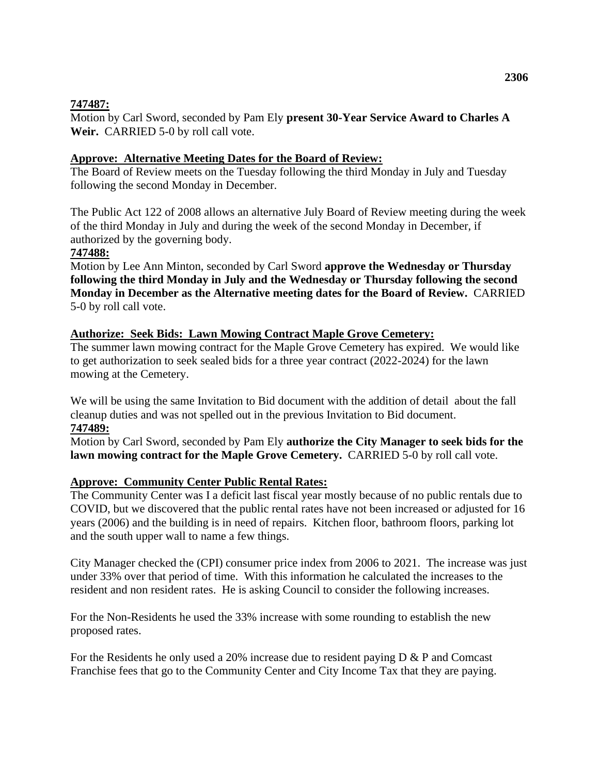### **747487:**

Motion by Carl Sword, seconded by Pam Ely **present 30-Year Service Award to Charles A Weir.** CARRIED 5-0 by roll call vote.

### **Approve: Alternative Meeting Dates for the Board of Review:**

The Board of Review meets on the Tuesday following the third Monday in July and Tuesday following the second Monday in December.

The Public Act 122 of 2008 allows an alternative July Board of Review meeting during the week of the third Monday in July and during the week of the second Monday in December, if authorized by the governing body.

### **747488:**

Motion by Lee Ann Minton, seconded by Carl Sword **approve the Wednesday or Thursday following the third Monday in July and the Wednesday or Thursday following the second Monday in December as the Alternative meeting dates for the Board of Review.** CARRIED 5-0 by roll call vote.

### **Authorize: Seek Bids: Lawn Mowing Contract Maple Grove Cemetery:**

The summer lawn mowing contract for the Maple Grove Cemetery has expired. We would like to get authorization to seek sealed bids for a three year contract (2022-2024) for the lawn mowing at the Cemetery.

We will be using the same Invitation to Bid document with the addition of detail about the fall cleanup duties and was not spelled out in the previous Invitation to Bid document. **747489:**

Motion by Carl Sword, seconded by Pam Ely **authorize the City Manager to seek bids for the lawn mowing contract for the Maple Grove Cemetery.** CARRIED 5-0 by roll call vote.

### **Approve: Community Center Public Rental Rates:**

The Community Center was I a deficit last fiscal year mostly because of no public rentals due to COVID, but we discovered that the public rental rates have not been increased or adjusted for 16 years (2006) and the building is in need of repairs. Kitchen floor, bathroom floors, parking lot and the south upper wall to name a few things.

City Manager checked the (CPI) consumer price index from 2006 to 2021. The increase was just under 33% over that period of time. With this information he calculated the increases to the resident and non resident rates. He is asking Council to consider the following increases.

For the Non-Residents he used the 33% increase with some rounding to establish the new proposed rates.

For the Residents he only used a 20% increase due to resident paying D & P and Comcast Franchise fees that go to the Community Center and City Income Tax that they are paying.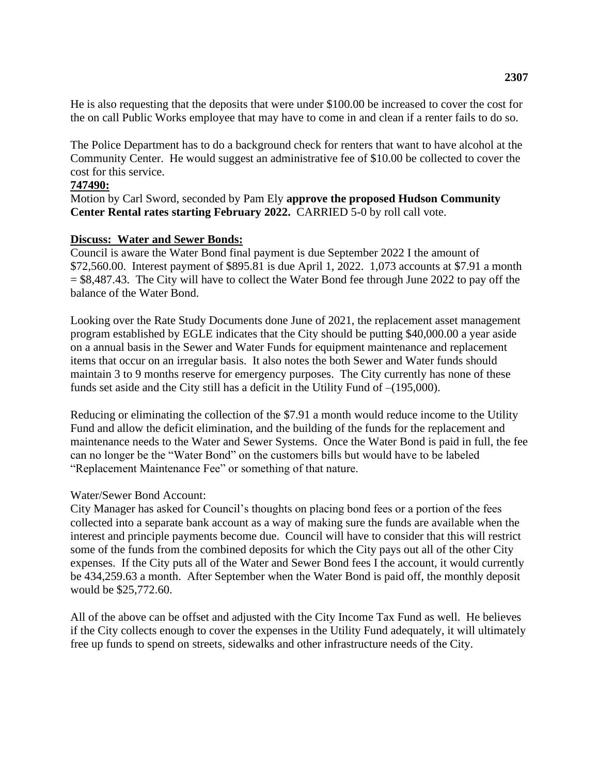He is also requesting that the deposits that were under \$100.00 be increased to cover the cost for the on call Public Works employee that may have to come in and clean if a renter fails to do so.

The Police Department has to do a background check for renters that want to have alcohol at the Community Center. He would suggest an administrative fee of \$10.00 be collected to cover the cost for this service.

#### **747490:**

Motion by Carl Sword, seconded by Pam Ely **approve the proposed Hudson Community Center Rental rates starting February 2022.** CARRIED 5-0 by roll call vote.

#### **Discuss: Water and Sewer Bonds:**

Council is aware the Water Bond final payment is due September 2022 I the amount of \$72,560.00. Interest payment of \$895.81 is due April 1, 2022. 1,073 accounts at \$7.91 a month  $= $8,487.43$ . The City will have to collect the Water Bond fee through June 2022 to pay off the balance of the Water Bond.

Looking over the Rate Study Documents done June of 2021, the replacement asset management program established by EGLE indicates that the City should be putting \$40,000.00 a year aside on a annual basis in the Sewer and Water Funds for equipment maintenance and replacement items that occur on an irregular basis. It also notes the both Sewer and Water funds should maintain 3 to 9 months reserve for emergency purposes. The City currently has none of these funds set aside and the City still has a deficit in the Utility Fund of –(195,000).

Reducing or eliminating the collection of the \$7.91 a month would reduce income to the Utility Fund and allow the deficit elimination, and the building of the funds for the replacement and maintenance needs to the Water and Sewer Systems. Once the Water Bond is paid in full, the fee can no longer be the "Water Bond" on the customers bills but would have to be labeled "Replacement Maintenance Fee" or something of that nature.

#### Water/Sewer Bond Account:

City Manager has asked for Council's thoughts on placing bond fees or a portion of the fees collected into a separate bank account as a way of making sure the funds are available when the interest and principle payments become due. Council will have to consider that this will restrict some of the funds from the combined deposits for which the City pays out all of the other City expenses. If the City puts all of the Water and Sewer Bond fees I the account, it would currently be 434,259.63 a month. After September when the Water Bond is paid off, the monthly deposit would be \$25,772.60.

All of the above can be offset and adjusted with the City Income Tax Fund as well. He believes if the City collects enough to cover the expenses in the Utility Fund adequately, it will ultimately free up funds to spend on streets, sidewalks and other infrastructure needs of the City.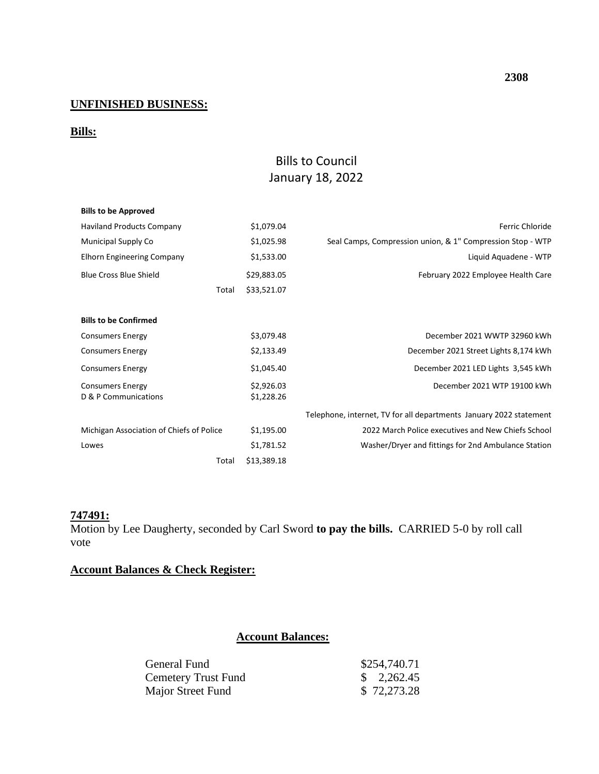### **UNFINISHED BUSINESS:**

### **Bills:**

## Bills to Council January 18, 2022

| <b>Bills to be Approved</b>              |       |             |                                                                    |  |
|------------------------------------------|-------|-------------|--------------------------------------------------------------------|--|
| <b>Haviland Products Company</b>         |       | \$1,079.04  | Ferric Chloride                                                    |  |
| Municipal Supply Co                      |       | \$1,025.98  | Seal Camps, Compression union, & 1" Compression Stop - WTP         |  |
| <b>Elhorn Engineering Company</b>        |       | \$1,533.00  | Liquid Aquadene - WTP                                              |  |
| <b>Blue Cross Blue Shield</b>            |       | \$29,883.05 | February 2022 Employee Health Care                                 |  |
|                                          | Total | \$33,521.07 |                                                                    |  |
|                                          |       |             |                                                                    |  |
| <b>Bills to be Confirmed</b>             |       |             |                                                                    |  |
| <b>Consumers Energy</b>                  |       | \$3,079.48  | December 2021 WWTP 32960 kWh                                       |  |
| <b>Consumers Energy</b>                  |       | \$2,133.49  | December 2021 Street Lights 8,174 kWh                              |  |
| <b>Consumers Energy</b>                  |       | \$1,045.40  | December 2021 LED Lights 3,545 kWh                                 |  |
| <b>Consumers Energy</b>                  |       | \$2,926.03  | December 2021 WTP 19100 kWh                                        |  |
| D & P Communications                     |       | \$1,228.26  |                                                                    |  |
|                                          |       |             | Telephone, internet, TV for all departments January 2022 statement |  |
| Michigan Association of Chiefs of Police |       | \$1,195.00  | 2022 March Police executives and New Chiefs School                 |  |
| Lowes                                    |       | \$1,781.52  | Washer/Dryer and fittings for 2nd Ambulance Station                |  |
|                                          | Total | \$13,389.18 |                                                                    |  |

### **747491:**

Motion by Lee Daugherty, seconded by Carl Sword **to pay the bills.** CARRIED 5-0 by roll call vote

### **Account Balances & Check Register:**

### **Account Balances:**

| General Fund        | \$254,740.71          |
|---------------------|-----------------------|
| Cemetery Trust Fund | $\frac{\$}{2.262.45}$ |
| Major Street Fund   | \$72,273.28           |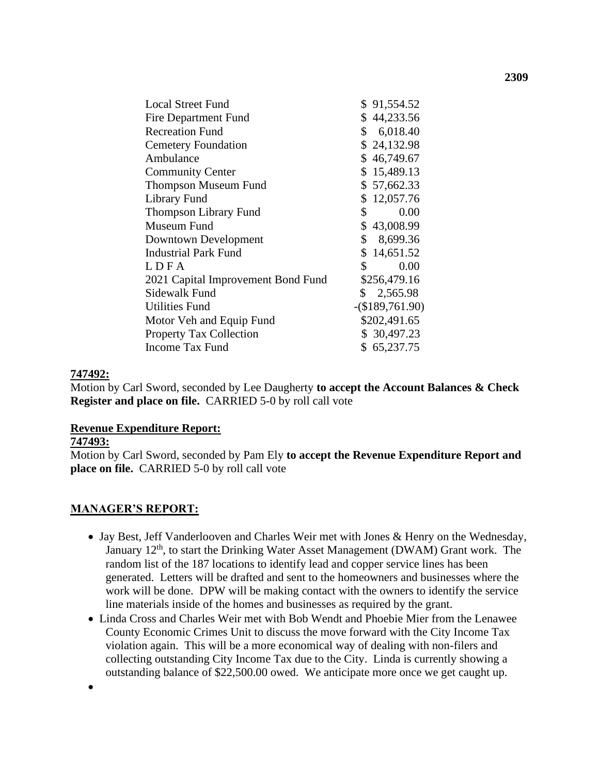| <b>Local Street Fund</b>           | \$91,554.52       |
|------------------------------------|-------------------|
| Fire Department Fund               | \$44,233.56       |
| <b>Recreation Fund</b>             | \$6,018.40        |
| <b>Cemetery Foundation</b>         | \$24,132.98       |
| Ambulance                          | \$46,749.67       |
| <b>Community Center</b>            | \$15,489.13       |
| <b>Thompson Museum Fund</b>        | \$57,662.33       |
| Library Fund                       | \$12,057.76       |
| <b>Thompson Library Fund</b>       | \$<br>0.00        |
| Museum Fund                        | \$43,008.99       |
| Downtown Development               | \$<br>8,699.36    |
| <b>Industrial Park Fund</b>        | \$14,651.52       |
| LDFA                               | \$<br>0.00        |
| 2021 Capital Improvement Bond Fund | \$256,479.16      |
| Sidewalk Fund                      | \$2,565.98        |
| <b>Utilities Fund</b>              | $-(\$189,761.90)$ |
| Motor Veh and Equip Fund           | \$202,491.65      |
| <b>Property Tax Collection</b>     | \$ 30,497.23      |
| Income Tax Fund                    | \$65,237.75       |

### **747492:**

Motion by Carl Sword, seconded by Lee Daugherty **to accept the Account Balances & Check Register and place on file.** CARRIED 5-0 by roll call vote

### **Revenue Expenditure Report:**

#### **747493:**

•

Motion by Carl Sword, seconded by Pam Ely **to accept the Revenue Expenditure Report and place on file.** CARRIED 5-0 by roll call vote

### **MANAGER'S REPORT:**

- Jay Best, Jeff Vanderlooven and Charles Weir met with Jones & Henry on the Wednesday, January 12<sup>th</sup>, to start the Drinking Water Asset Management (DWAM) Grant work. The random list of the 187 locations to identify lead and copper service lines has been generated. Letters will be drafted and sent to the homeowners and businesses where the work will be done. DPW will be making contact with the owners to identify the service line materials inside of the homes and businesses as required by the grant.
- Linda Cross and Charles Weir met with Bob Wendt and Phoebie Mier from the Lenawee County Economic Crimes Unit to discuss the move forward with the City Income Tax violation again. This will be a more economical way of dealing with non-filers and collecting outstanding City Income Tax due to the City. Linda is currently showing a outstanding balance of \$22,500.00 owed. We anticipate more once we get caught up.